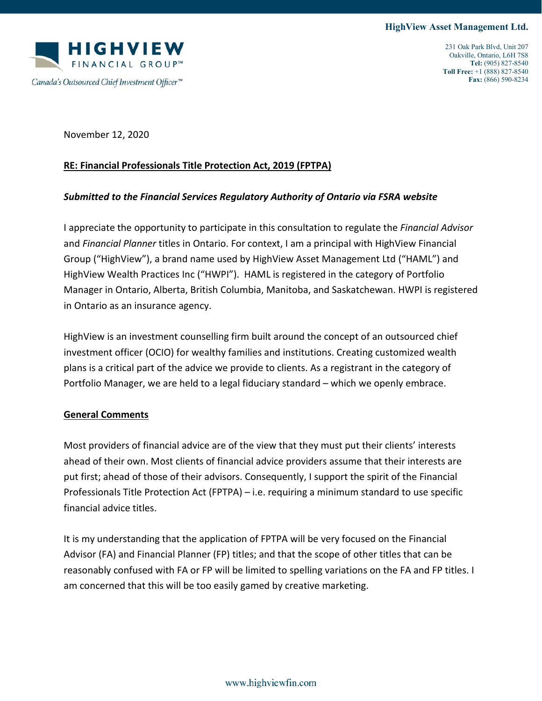

November 12, 2020

## **RE: Financial Professionals Title Protection Act, 2019 (FPTPA)**

## *Submitted to the Financial Services Regulatory Authority of Ontario via FSRA website*

I appreciate the opportunity to participate in this consultation to regulate the *Financial Advisor* and *Financial Planner* titles in Ontario. For context, I am a principal with HighView Financial Group ("HighView"), a brand name used by HighView Asset Management Ltd ("HAML") and HighView Wealth Practices Inc ("HWPI"). HAML is registered in the category of Portfolio Manager in Ontario, Alberta, British Columbia, Manitoba, and Saskatchewan. HWPI is registered in Ontario as an insurance agency.

HighView is an investment counselling firm built around the concept of an outsourced chief investment officer (OCIO) for wealthy families and institutions. Creating customized wealth plans is a critical part of the advice we provide to clients. As a registrant in the category of Portfolio Manager, we are held to a legal fiduciary standard – which we openly embrace.

## **General Comments**

Most providers of financial advice are of the view that they must put their clients' interests ahead of their own. Most clients of financial advice providers assume that their interests are put first; ahead of those of their advisors. Consequently, I support the spirit of the Financial Professionals Title Protection Act (FPTPA) – i.e. requiring a minimum standard to use specific financial advice titles.

It is my understanding that the application of FPTPA will be very focused on the Financial Advisor (FA) and Financial Planner (FP) titles; and that the scope of other titles that can be reasonably confused with FA or FP will be limited to spelling variations on the FA and FP titles. I am concerned that this will be too easily gamed by creative marketing.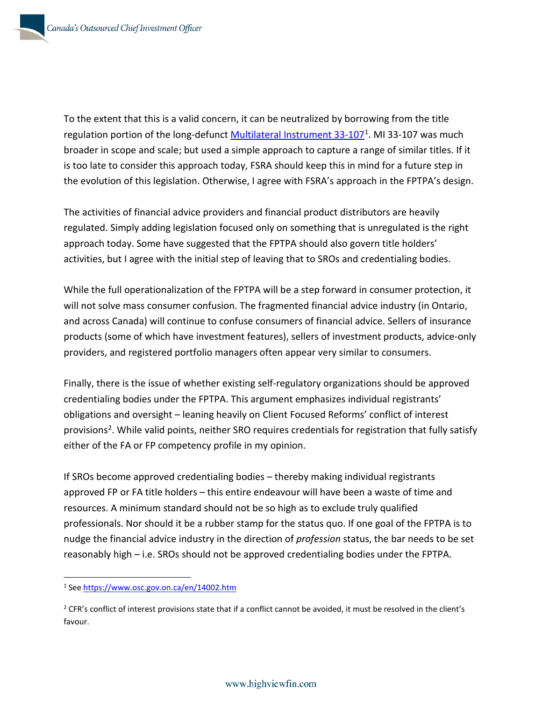To the extent that this is a valid concern, it can be neutralized by borrowing from the title regulation portion of the long-defunct Multilateral Instrument  $33-107<sup>1</sup>$  $33-107<sup>1</sup>$  $33-107<sup>1</sup>$ . MI 33-107 was much broader in scope and scale; but used a simple approach to capture a range of similar titles. If it is too late to consider this approach today, FSRA should keep this in mind for a future step in the evolution of this legislation. Otherwise, I agree with FSRA's approach in the FPTPA's design.

The activities of financial advice providers and financial product distributors are heavily regulated. Simply adding legislation focused only on something that is unregulated is the right approach today. Some have suggested that the FPTPA should also govern title holders' activities, but I agree with the initial step of leaving that to SROs and credentialing bodies.

While the full operationalization of the FPTPA will be a step forward in consumer protection, it will not solve mass consumer confusion. The fragmented financial advice industry (in Ontario, and across Canada) will continue to confuse consumers of financial advice. Sellers of insurance products (some of which have investment features), sellers of investment products, advice-only providers, and registered portfolio managers often appear very similar to consumers.

Finally, there is the issue of whether existing self-regulatory organizations should be approved credentialing bodies under the FPTPA. This argument emphasizes individual registrants' obligations and oversight – leaning heavily on Client Focused Reforms' conflict of interest provisions[2](#page-1-1). While valid points, neither SRO requires credentials for registration that fully satisfy either of the FA or FP competency profile in my opinion.

If SROs become approved credentialing bodies – thereby making individual registrants approved FP or FA title holders – this entire endeavour will have been a waste of time and resources. A minimum standard should not be so high as to exclude truly qualified professionals. Nor should it be a rubber stamp for the status quo. If one goal of the FPTPA is to nudge the financial advice industry in the direction of *profession* status, the bar needs to be set reasonably high – i.e. SROs should not be approved credentialing bodies under the FPTPA.

<span id="page-1-0"></span><sup>1</sup> See<https://www.osc.gov.on.ca/en/14002.htm>

<span id="page-1-1"></span><sup>&</sup>lt;sup>2</sup> CFR's conflict of interest provisions state that if a conflict cannot be avoided, it must be resolved in the client's favour.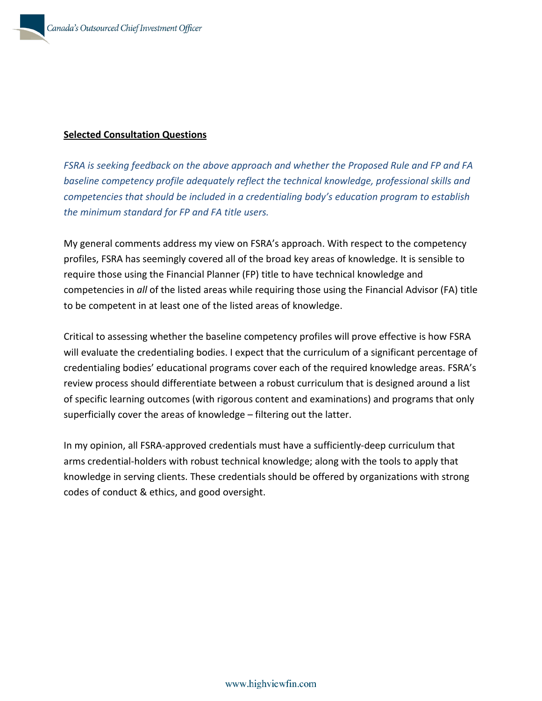## **Selected Consultation Questions**

*FSRA is seeking feedback on the above approach and whether the Proposed Rule and FP and FA baseline competency profile adequately reflect the technical knowledge, professional skills and competencies that should be included in a credentialing body's education program to establish the minimum standard for FP and FA title users.*

My general comments address my view on FSRA's approach. With respect to the competency profiles, FSRA has seemingly covered all of the broad key areas of knowledge. It is sensible to require those using the Financial Planner (FP) title to have technical knowledge and competencies in *all* of the listed areas while requiring those using the Financial Advisor (FA) title to be competent in at least one of the listed areas of knowledge.

Critical to assessing whether the baseline competency profiles will prove effective is how FSRA will evaluate the credentialing bodies. I expect that the curriculum of a significant percentage of credentialing bodies' educational programs cover each of the required knowledge areas. FSRA's review process should differentiate between a robust curriculum that is designed around a list of specific learning outcomes (with rigorous content and examinations) and programs that only superficially cover the areas of knowledge – filtering out the latter.

In my opinion, all FSRA-approved credentials must have a sufficiently-deep curriculum that arms credential-holders with robust technical knowledge; along with the tools to apply that knowledge in serving clients. These credentials should be offered by organizations with strong codes of conduct & ethics, and good oversight.